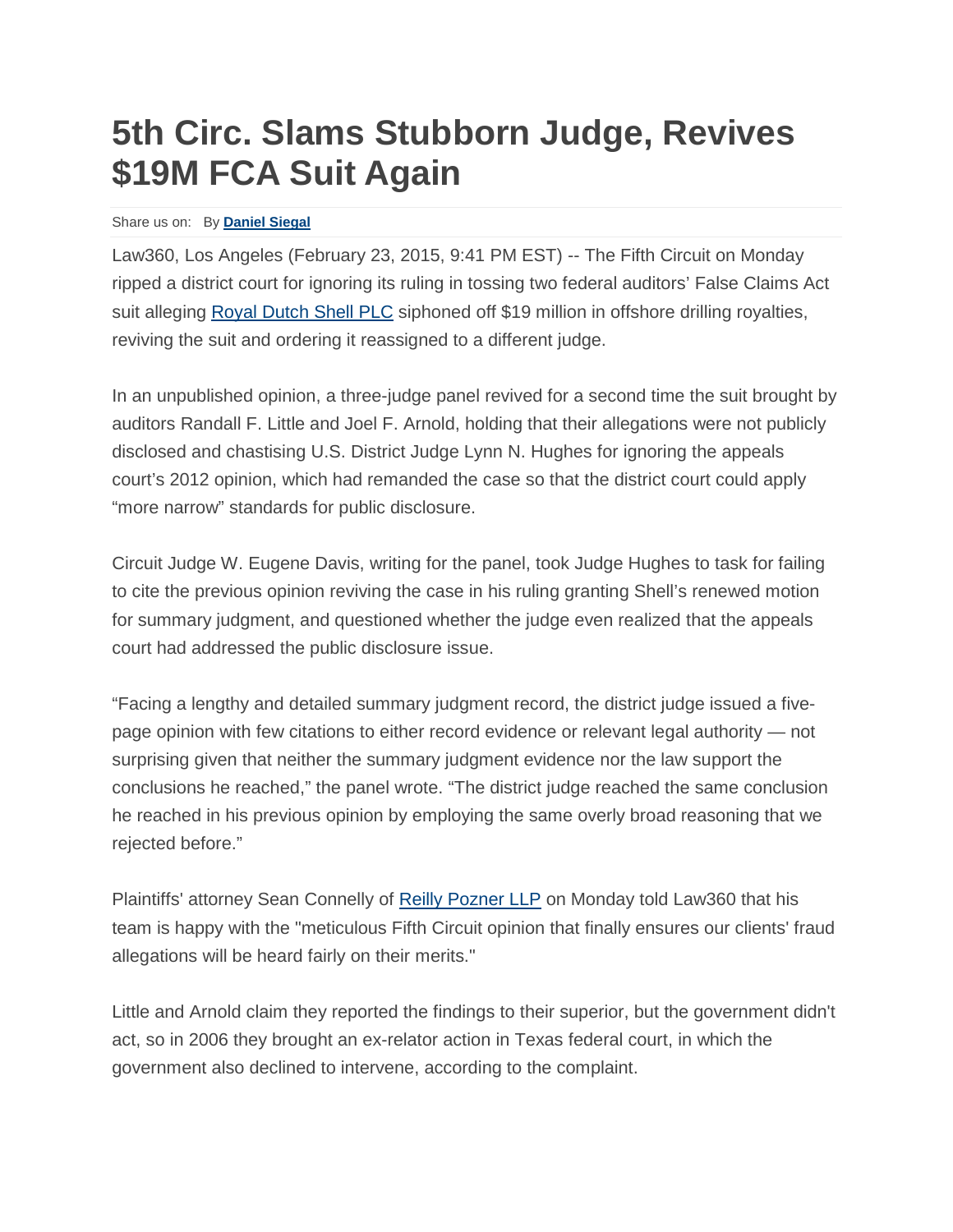## **5th Circ. Slams Stubborn Judge, Revives \$19M FCA Suit Again**

## Share us on: By **[Daniel](https://www.law360.com/articles/624402/5th-circ-slams-stubborn-judge-revives-19m-fca-suit-again) Siegal**

Law360, Los Angeles (February 23, 2015, 9:41 PM EST) -- The Fifth Circuit on Monday ripped a district court for ignoring its ruling in tossing two federal auditors' False Claims Act suit alleging [Royal Dutch Shell PLC](https://www.law360.com/companies/royal-dutch-shell-plc) siphoned off \$19 million in offshore drilling royalties, reviving the suit and ordering it reassigned to a different judge.

In an unpublished opinion, a three-judge panel revived for a second time the suit brought by auditors Randall F. Little and Joel F. Arnold, holding that their allegations were not publicly disclosed and chastising U.S. District Judge Lynn N. Hughes for ignoring the appeals court's 2012 opinion, which had remanded the case so that the district court could apply "more narrow" standards for public disclosure.

Circuit Judge W. Eugene Davis, writing for the panel, took Judge Hughes to task for failing to cite the previous opinion reviving the case in his ruling granting Shell's renewed motion for summary judgment, and questioned whether the judge even realized that the appeals court had addressed the public disclosure issue.

"Facing a lengthy and detailed summary judgment record, the district judge issued a fivepage opinion with few citations to either record evidence or relevant legal authority — not surprising given that neither the summary judgment evidence nor the law support the conclusions he reached," the panel wrote. "The district judge reached the same conclusion he reached in his previous opinion by employing the same overly broad reasoning that we rejected before."

Plaintiffs' attorney Sean Connelly of [Reilly Pozner LLP](https://www.law360.com/firms/reilly-pozner) on Monday told Law360 that his team is happy with the "meticulous Fifth Circuit opinion that finally ensures our clients' fraud allegations will be heard fairly on their merits."

Little and Arnold claim they reported the findings to their superior, but the government didn't act, so in 2006 they brought an ex-relator action in Texas federal court, in which the government also declined to intervene, according to the complaint.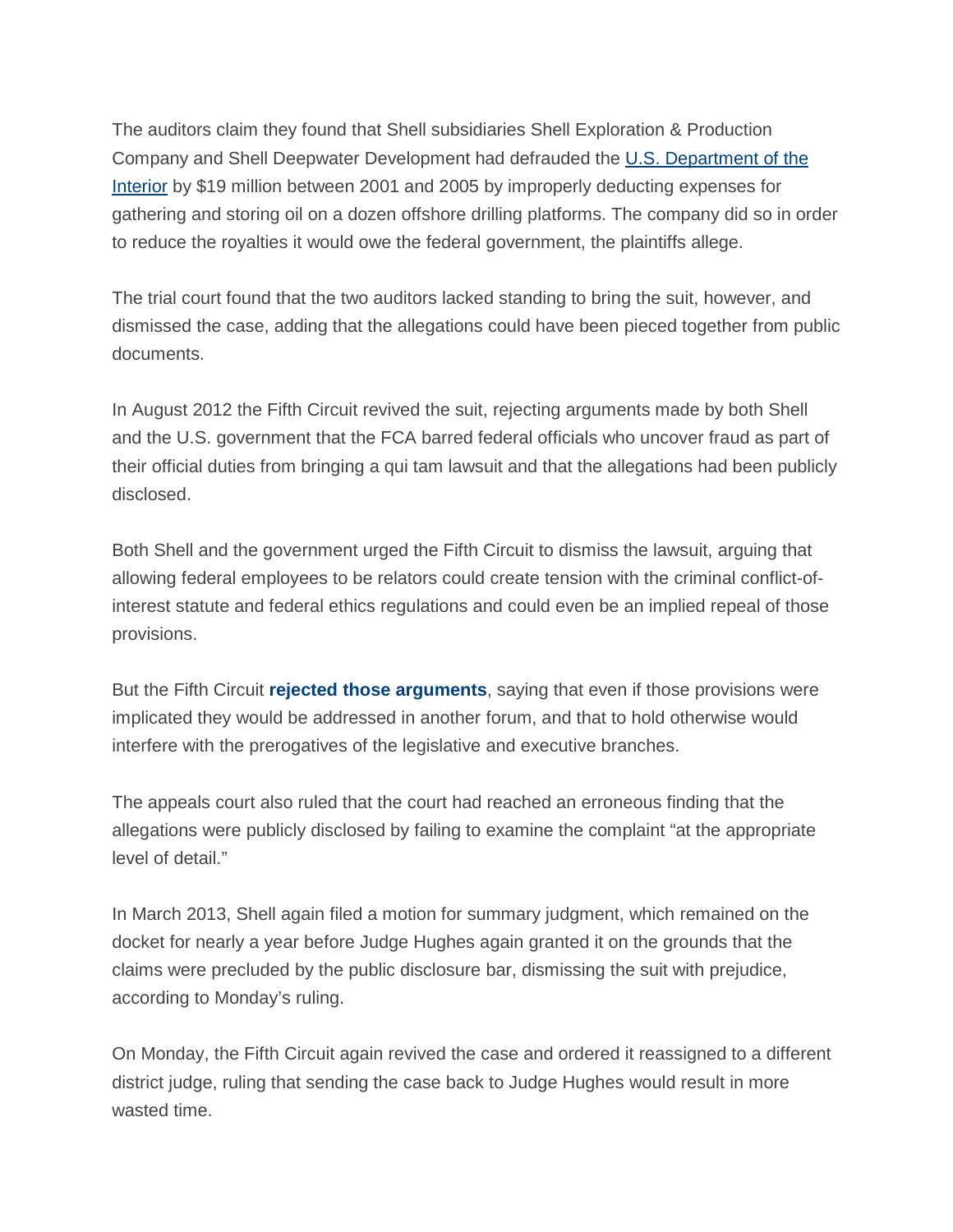The auditors claim they found that Shell subsidiaries Shell Exploration & Production Company and Shell Deepwater Development had defrauded the [U.S. Department of the](https://www.law360.com/agencies/u-s-department-of-the-interior)  [Interior](https://www.law360.com/agencies/u-s-department-of-the-interior) by \$19 million between 2001 and 2005 by improperly deducting expenses for gathering and storing oil on a dozen offshore drilling platforms. The company did so in order to reduce the royalties it would owe the federal government, the plaintiffs allege.

The trial court found that the two auditors lacked standing to bring the suit, however, and dismissed the case, adding that the allegations could have been pieced together from public documents.

In August 2012 the Fifth Circuit revived the suit, rejecting arguments made by both Shell and the U.S. government that the FCA barred federal officials who uncover fraud as part of their official duties from bringing a qui tam lawsuit and that the allegations had been publicly disclosed.

Both Shell and the government urged the Fifth Circuit to dismiss the lawsuit, arguing that allowing federal employees to be relators could create tension with the criminal conflict-ofinterest statute and federal ethics regulations and could even be an implied repeal of those provisions.

But the Fifth Circuit **rejected those [arguments](http://www.law360.com/articles/365692/federal-employees-can-bring-qui-tam-suit-5th-circ-rules)**, saying that even if those provisions were implicated they would be addressed in another forum, and that to hold otherwise would interfere with the prerogatives of the legislative and executive branches.

The appeals court also ruled that the court had reached an erroneous finding that the allegations were publicly disclosed by failing to examine the complaint "at the appropriate level of detail."

In March 2013, Shell again filed a motion for summary judgment, which remained on the docket for nearly a year before Judge Hughes again granted it on the grounds that the claims were precluded by the public disclosure bar, dismissing the suit with prejudice, according to Monday's ruling.

On Monday, the Fifth Circuit again revived the case and ordered it reassigned to a different district judge, ruling that sending the case back to Judge Hughes would result in more wasted time.